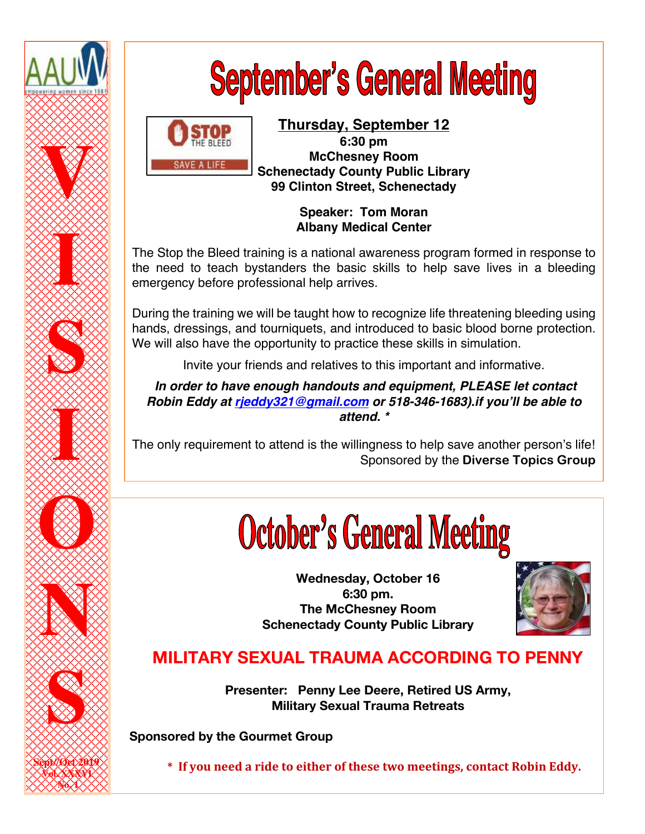

# **September's General Meeting**



### **Thursday, September 12 6:30 pm McChesney Room Schenectady County Public Library 99 Clinton Street, Schenectady**

**Speaker: Tom Moran Albany Medical Center**

The Stop the Bleed training is a national awareness program formed in response to the need to teach bystanders the basic skills to help save lives in a bleeding emergency before professional help arrives.

During the training we will be taught how to recognize life threatening bleeding using hands, dressings, and tourniquets, and introduced to basic blood borne protection. We will also have the opportunity to practice these skills in simulation.

Invite your friends and relatives to this important and informative.

*In order to have enough handouts and equipment, PLEASE let contact Robin Eddy at rjeddy321@gmail.com or 518-346-1683).if you'll be able to attend. \**

The only requirement to attend is the willingness to help save another person's life! Sponsored by the **Diverse Topics Group**

# **October's General Meeting**

**Wednesday, October 16 6:30 pm. The McChesney Room Schenectady County Public Library**



# **MILITARY SEXUAL TRAUMA ACCORDING TO PENNY**

**Presenter: Penny Lee Deere, Retired US Army, Military Sexual Trauma Retreats**

**Sponsored by the Gourmet Group**

\* If you need a ride to either of these two meetings, contact Robin Eddy.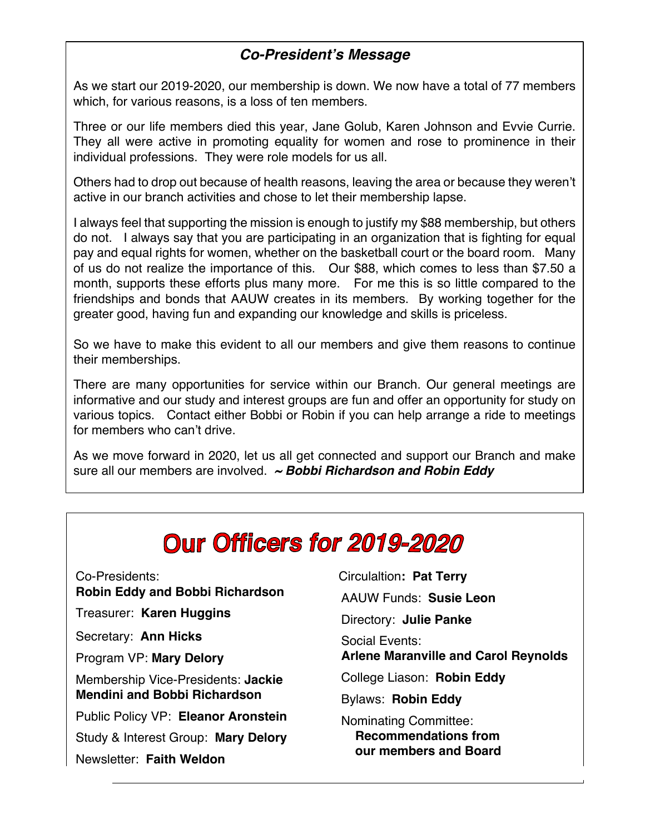# *Co-President's Message*

As we start our 2019-2020, our membership is down. We now have a total of 77 members which, for various reasons, is a loss of ten members.

Three or our life members died this year, Jane Golub, Karen Johnson and Evvie Currie. They all were active in promoting equality for women and rose to prominence in their individual professions. They were role models for us all.

Others had to drop out because of health reasons, leaving the area or because they weren't active in our branch activities and chose to let their membership lapse.

I always feel that supporting the mission is enough to justify my \$88 membership, but others do not. I always say that you are participating in an organization that is fighting for equal pay and equal rights for women, whether on the basketball court or the board room. Many of us do not realize the importance of this. Our \$88, which comes to less than \$7.50 a month, supports these efforts plus many more. For me this is so little compared to the friendships and bonds that AAUW creates in its members. By working together for the greater good, having fun and expanding our knowledge and skills is priceless.

So we have to make this evident to all our members and give them reasons to continue their memberships.

There are many opportunities for service within our Branch. Our general meetings are informative and our study and interest groups are fun and offer an opportunity for study on various topics. Contact either Bobbi or Robin if you can help arrange a ride to meetings for members who can't drive.

As we move forward in 2020, let us all get connected and support our Branch and make sure all our members are involved. *~ Bobbi Richardson and Robin Eddy*

# **Our Officers for 2019-2020**

Co-Presidents:  **Robin Eddy and Bobbi Richardson** Treasurer: **Karen Huggins** Secretary: **Ann Hicks** Program VP: **Mary Delory** Membership Vice-Presidents: **Jackie Mendini and Bobbi Richardson** Public Policy VP: **Eleanor Aronstein** Study & Interest Group: **Mary Delory** Newsletter: **Faith Weldon**

Circulaltion**: Pat Terry** AAUW Funds: **Susie Leon** Directory: **Julie Panke** Social Events: **Arlene Maranville and Carol Reynolds**  College Liason: **Robin Eddy**  Bylaws: **Robin Eddy** Nominating Committee:  **Recommendations from our members and Board**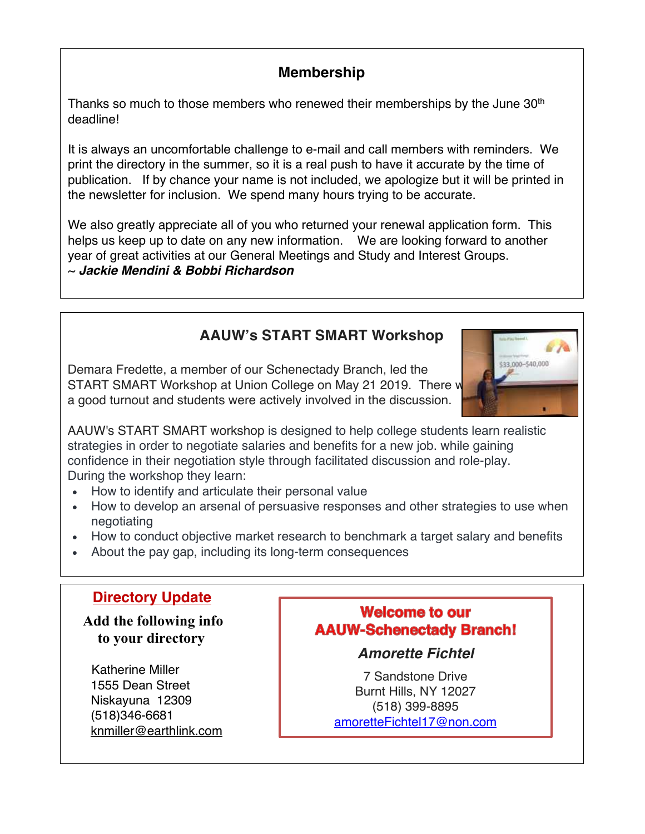# **Membership**

Thanks so much to those members who renewed their memberships by the June 30<sup>th</sup> deadline!

It is always an uncomfortable challenge to e-mail and call members with reminders. We print the directory in the summer, so it is a real push to have it accurate by the time of publication. If by chance your name is not included, we apologize but it will be printed in the newsletter for inclusion. We spend many hours trying to be accurate.

We also greatly appreciate all of you who returned your renewal application form. This helps us keep up to date on any new information. We are looking forward to another year of great activities at our General Meetings and Study and Interest Groups. ~ *Jackie Mendini & Bobbi Richardson*

# **AAUW's START SMART Workshop**

Demara Fredette, a member of our Schenectady Branch, led the START SMART Workshop at Union College on May 21 2019. There w a good turnout and students were actively involved in the discussion.



AAUW's START SMART workshop is designed to help college students learn realistic strategies in order to negotiate salaries and benefits for a new job. while gaining confidence in their negotiation style through facilitated discussion and role-play. During the workshop they learn:

- How to identify and articulate their personal value
- How to develop an arsenal of persuasive responses and other strategies to use when negotiating
- How to conduct objective market research to benchmark a target salary and benefits
- About the pay gap, including its long-term consequences

# **Directory Update**

 **Add the following info to your directory**

 Katherine Miller 1555 Dean Street Niskayuna 12309 (518)346-6681 knmiller@earthlink.com

# **Welcome to our AAUW-Schenectady Branch!**

*Amorette Fichtel*

7 Sandstone Drive Burnt Hills, NY 12027 (518) 399-8895 amoretteFichtel17@non.com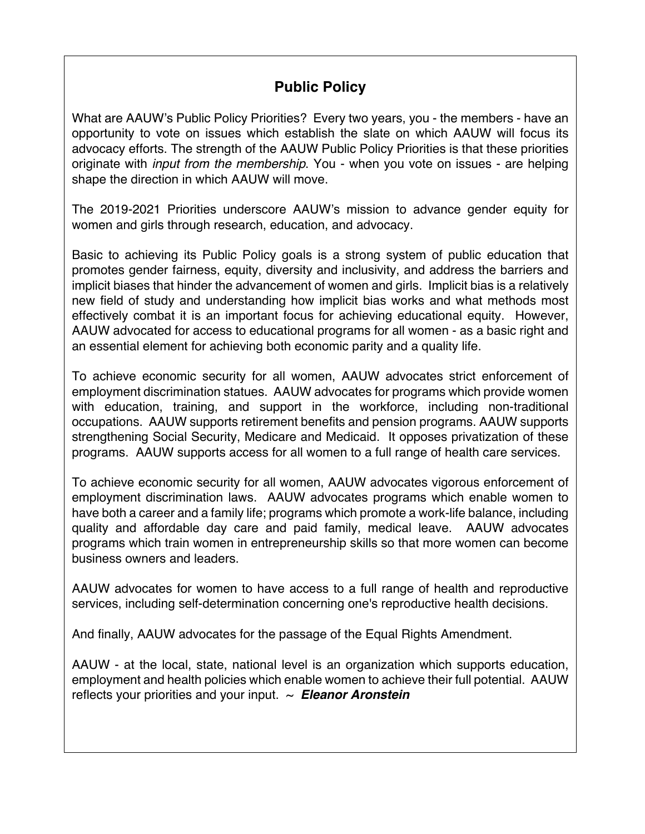# **Public Policy**

What are AAUW's Public Policy Priorities? Every two years, you - the members - have an opportunity to vote on issues which establish the slate on which AAUW will focus its advocacy efforts. The strength of the AAUW Public Policy Priorities is that these priorities originate with *input from the membership*. You - when you vote on issues - are helping shape the direction in which AAUW will move.

The 2019-2021 Priorities underscore AAUW's mission to advance gender equity for women and girls through research, education, and advocacy.

Basic to achieving its Public Policy goals is a strong system of public education that promotes gender fairness, equity, diversity and inclusivity, and address the barriers and implicit biases that hinder the advancement of women and girls. Implicit bias is a relatively new field of study and understanding how implicit bias works and what methods most effectively combat it is an important focus for achieving educational equity. However, AAUW advocated for access to educational programs for all women - as a basic right and an essential element for achieving both economic parity and a quality life.

To achieve economic security for all women, AAUW advocates strict enforcement of employment discrimination statues. AAUW advocates for programs which provide women with education, training, and support in the workforce, including non-traditional occupations. AAUW supports retirement benefits and pension programs. AAUW supports strengthening Social Security, Medicare and Medicaid. It opposes privatization of these programs. AAUW supports access for all women to a full range of health care services.

To achieve economic security for all women, AAUW advocates vigorous enforcement of employment discrimination laws. AAUW advocates programs which enable women to have both a career and a family life; programs which promote a work-life balance, including quality and affordable day care and paid family, medical leave. AAUW advocates programs which train women in entrepreneurship skills so that more women can become business owners and leaders.

AAUW advocates for women to have access to a full range of health and reproductive services, including self-determination concerning one's reproductive health decisions.

And finally, AAUW advocates for the passage of the Equal Rights Amendment.

AAUW - at the local, state, national level is an organization which supports education, employment and health policies which enable women to achieve their full potential. AAUW reflects your priorities and your input. ~ *Eleanor Aronstein*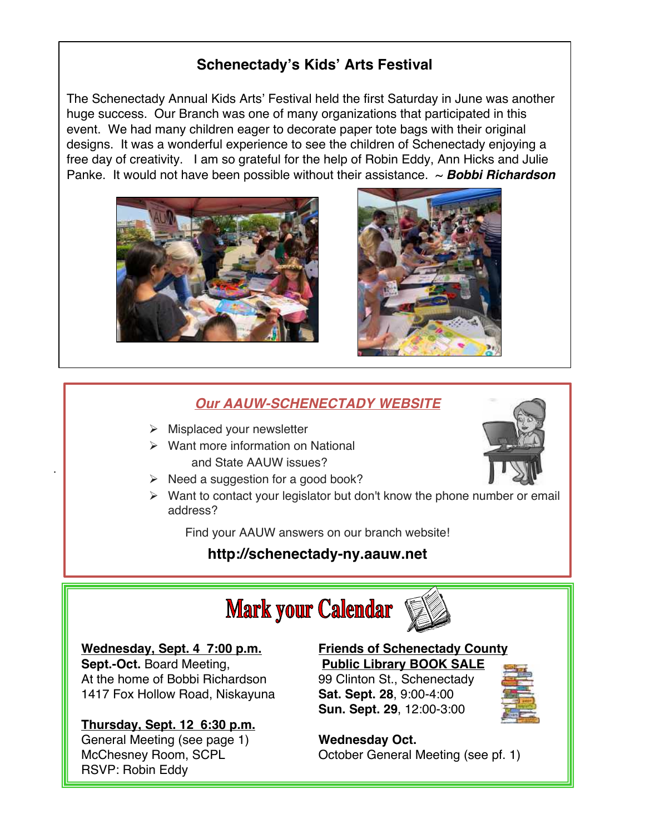# **Schenectady's Kids' Arts Festival**

The Schenectady Annual Kids Arts' Festival held the first Saturday in June was another huge success. Our Branch was one of many organizations that participated in this event. We had many children eager to decorate paper tote bags with their original designs. It was a wonderful experience to see the children of Schenectady enjoying a free day of creativity. I am so grateful for the help of Robin Eddy, Ann Hicks and Julie Panke. It would not have been possible without their assistance. ~ *Bobbi Richardson*





### *Our AAUW-SCHENECTADY WEBSITE*

- $\triangleright$  Misplaced your newsletter
- $\triangleright$  Want more information on National and State AAUW issues?
- $\triangleright$  Need a suggestion for a good book?
- $\triangleright$  Want to contact your legislator but don't know the phone number or email address?

Find your AAUW answers on our branch website!

# **http://schenectady-ny.aauw.net**

# **Mark your Calendar**

#### **Wednesday, Sept. 4 7:00 p.m.**

.

**Sept.-Oct.** Board Meeting, At the home of Bobbi Richardson 1417 Fox Hollow Road, Niskayuna

#### **Thursday, Sept. 12 6:30 p.m.**

General Meeting (see page 1) McChesney Room, SCPL RSVP: Robin Eddy

# **Friends of Schenectady County**

**Public Library BOOK SALE** 99 Clinton St., Schenectady **Sat. Sept. 28**, 9:00-4:00 **Sun. Sept. 29**, 12:00-3:00



## **Wednesday Oct.**

October General Meeting (see pf. 1)

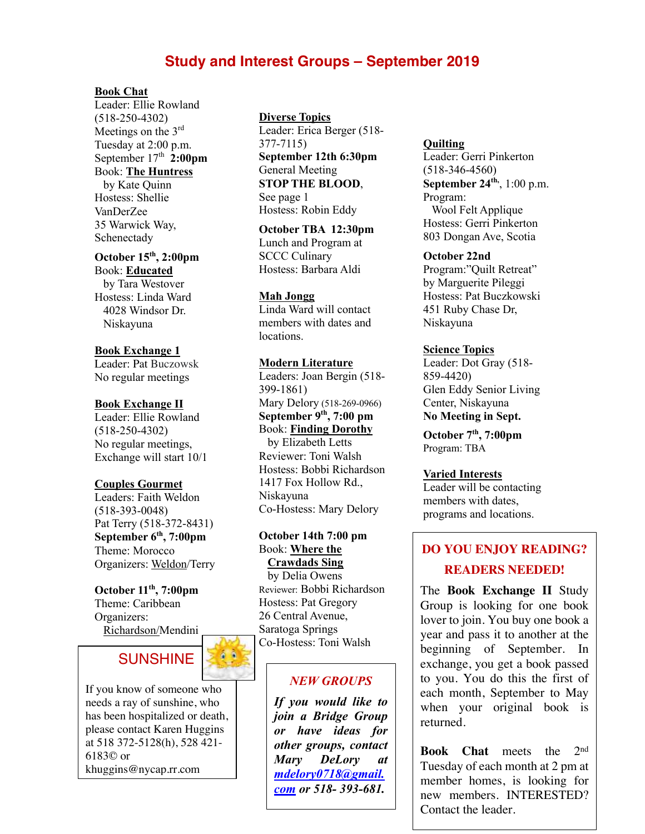## **Study and Interest Groups – September 2019**

#### **Book Chat**

Leader: Ellie Rowland (518-250-4302) Meetings on the 3rd Tuesday at 2:00 p.m. September  $17<sup>th</sup>$  2:00pm Book: **The Huntress** by Kate Quinn

Hostess: Shellie VanDerZee 35 Warwick Way, Schenectady

**October 15th, 2:00pm** Book: **Educated**

 by Tara Westover Hostess: Linda Ward 4028 Windsor Dr. Niskayuna

**Book Exchange 1** Leader: Pat Buczowsk No regular meetings

#### **Book Exchange II**

Leader: Ellie Rowland (518-250-4302) No regular meetings, Exchange will start 10/1

#### **Couples Gourmet**

Leaders: Faith Weldon (518-393-0048) Pat Terry (518-372-8431) **September 6th, 7:00pm** Theme: Morocco Organizers: Weldon/Terry

#### **October 11th, 7:00pm** Theme: Caribbean Organizers: Richardson/Mendini



If you know of someone who needs a ray of sunshine, who has been hospitalized or death, please contact Karen Huggins at 518 372-5128(h), 528 421- 6183© or khuggins@nycap.rr.com

#### **Diverse Topics**

Leader: Erica Berger (518- 377-7115) **September 12th 6:30pm** General Meeting **STOP THE BLOOD**, See page 1 Hostess: Robin Eddy

**October TBA 12:30pm** Lunch and Program at SCCC Culinary Hostess: Barbara Aldi

#### **Mah Jongg**

Linda Ward will contact members with dates and locations.

#### **Modern Literature**

Leaders: Joan Bergin (518- 399-1861) Mary Delory (518-269-0966) **September 9th, 7:00 pm** Book: **Finding Dorothy** by Elizabeth Letts Reviewer: Toni Walsh Hostess: Bobbi Richardson 1417 Fox Hollow Rd., Niskayuna Co-Hostess: Mary Delory

#### **October 14th 7:00 pm** Book: **Where the Crawdads Sing**

 by Delia Owens Reviewer: Bobbi Richardson Hostess: Pat Gregory 26 Central Avenue, Saratoga Springs Co-Hostess: Toni Walsh

#### *NEW GROUPS*

*If you would like to join a Bridge Group or have ideas for other groups, contact Mary DeLory at mdelory0718@gmail. com or 518- 393-681.*

#### **Quilting**

Leader: Gerri Pinkerton (518-346-4560) **September 24<sup>th</sup>**, 1:00 p.m. Program: Wool Felt Applique Hostess: Gerri Pinkerton 803 Dongan Ave, Scotia

#### **October 22nd**

Program:"Quilt Retreat" by Marguerite Pileggi Hostess: Pat Buczkowski 451 Ruby Chase Dr, Niskayuna

#### **Science Topics**

Leader: Dot Gray (518- 859-4420) Glen Eddy Senior Living Center, Niskayuna **No Meeting in Sept.**

**October 7th, 7:00pm** Program: TBA

#### **Varied Interests**

Leader will be contacting members with dates, programs and locations.

# **DO YOU ENJOY READING? READERS NEEDED!**

The **Book Exchange II** Study Group is looking for one book lover to join. You buy one book a year and pass it to another at the beginning of September. In exchange, you get a book passed to you. You do this the first of each month, September to May when your original book is returned.

**Book Chat** meets the 2nd Tuesday of each month at 2 pm at member homes, is looking for new members. INTERESTED? Contact the leader.